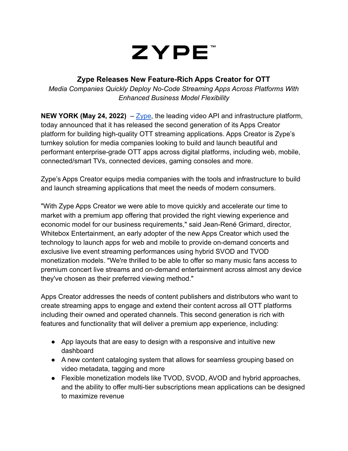

## **Zype Releases New Feature-Rich Apps Creator for OTT**

*Media Companies Quickly Deploy No-Code Streaming Apps Across Platforms With Enhanced Business Model Flexibility*

**NEW YORK (May 24, 2022)** – [Zype](https://c212.net/c/link/?t=0&l=en&o=3360264-1&h=1359354991&u=https%3A%2F%2Fwww.zype.com%2F&a=Zype), the leading video API and infrastructure platform, today announced that it has released the second generation of its Apps Creator platform for building high-quality OTT streaming applications. Apps Creator is Zype's turnkey solution for media companies looking to build and launch beautiful and performant enterprise-grade OTT apps across digital platforms, including web, mobile, connected/smart TVs, connected devices, gaming consoles and more.

Zype's Apps Creator equips media companies with the tools and infrastructure to build and launch streaming applications that meet the needs of modern consumers.

"With Zype Apps Creator we were able to move quickly and accelerate our time to market with a premium app offering that provided the right viewing experience and economic model for our business requirements," said Jean-René Grimard, director, Whitebox Entertainment, an early adopter of the new Apps Creator which used the technology to launch apps for web and mobile to provide on-demand concerts and exclusive live event streaming performances using hybrid SVOD and TVOD monetization models. "We're thrilled to be able to offer so many music fans access to premium concert live streams and on-demand entertainment across almost any device they've chosen as their preferred viewing method."

Apps Creator addresses the needs of content publishers and distributors who want to create streaming apps to engage and extend their content across all OTT platforms including their owned and operated channels. This second generation is rich with features and functionality that will deliver a premium app experience, including:

- App layouts that are easy to design with a responsive and intuitive new dashboard
- A new content cataloging system that allows for seamless grouping based on video metadata, tagging and more
- Flexible monetization models like TVOD, SVOD, AVOD and hybrid approaches, and the ability to offer multi-tier subscriptions mean applications can be designed to maximize revenue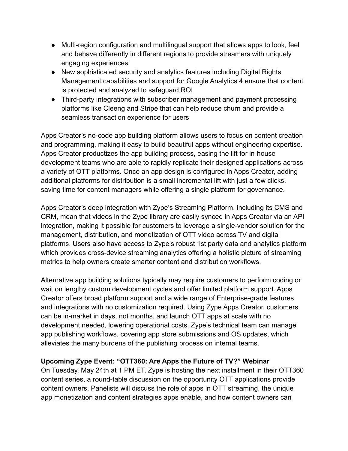- Multi-region configuration and multilingual support that allows apps to look, feel and behave differently in different regions to provide streamers with uniquely engaging experiences
- New sophisticated security and analytics features including Digital Rights Management capabilities and support for Google Analytics 4 ensure that content is protected and analyzed to safeguard ROI
- Third-party integrations with subscriber management and payment processing platforms like Cleeng and Stripe that can help reduce churn and provide a seamless transaction experience for users

Apps Creator's no-code app building platform allows users to focus on content creation and programming, making it easy to build beautiful apps without engineering expertise. Apps Creator productizes the app building process, easing the lift for in-house development teams who are able to rapidly replicate their designed applications across a variety of OTT platforms. Once an app design is configured in Apps Creator, adding additional platforms for distribution is a small incremental lift with just a few clicks, saving time for content managers while offering a single platform for governance.

Apps Creator's deep integration with Zype's Streaming Platform, including its CMS and CRM, mean that videos in the Zype library are easily synced in Apps Creator via an API integration, making it possible for customers to leverage a single-vendor solution for the management, distribution, and monetization of OTT video across TV and digital platforms. Users also have access to Zype's robust 1st party data and analytics platform which provides cross-device streaming analytics offering a holistic picture of streaming metrics to help owners create smarter content and distribution workflows.

Alternative app building solutions typically may require customers to perform coding or wait on lengthy custom development cycles and offer limited platform support. Apps Creator offers broad platform support and a wide range of Enterprise-grade features and integrations with no customization required. Using Zype Apps Creator, customers can be in-market in days, not months, and launch OTT apps at scale with no development needed, lowering operational costs. Zype's technical team can manage app publishing workflows, covering app store submissions and OS updates, which alleviates the many burdens of the publishing process on internal teams.

## **Upcoming Zype Event: "OTT360: Are Apps the Future of TV?" Webinar**

On Tuesday, May 24th at 1 PM ET, Zype is hosting the next installment in their OTT360 content series, a round-table discussion on the opportunity OTT applications provide content owners. Panelists will discuss the role of apps in OTT streaming, the unique app monetization and content strategies apps enable, and how content owners can